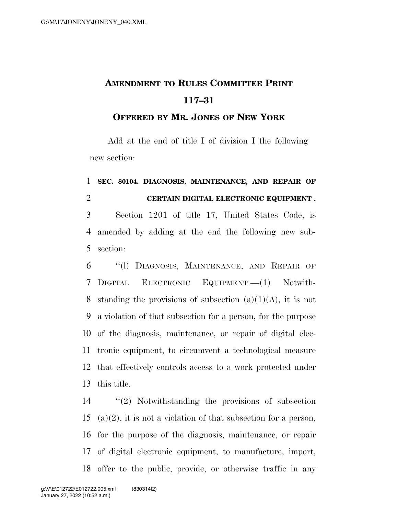## **AMENDMENT TO RULES COMMITTEE PRINT 117–31**

## **OFFERED BY MR. JONES OF NEW YORK**

Add at the end of title I of division I the following new section:

## **SEC. 80104. DIAGNOSIS, MAINTENANCE, AND REPAIR OF CERTAIN DIGITAL ELECTRONIC EQUIPMENT .**

 Section 1201 of title 17, United States Code, is amended by adding at the end the following new sub-section:

 ''(l) DIAGNOSIS, MAINTENANCE, AND REPAIR OF DIGITAL ELECTRONIC EQUIPMENT.—(1) Notwith-8 standing the provisions of subsection  $(a)(1)(A)$ , it is not a violation of that subsection for a person, for the purpose of the diagnosis, maintenance, or repair of digital elec- tronic equipment, to circumvent a technological measure that effectively controls access to a work protected under this title.

 ''(2) Notwithstanding the provisions of subsection 15 (a)(2), it is not a violation of that subsection for a person, for the purpose of the diagnosis, maintenance, or repair of digital electronic equipment, to manufacture, import, offer to the public, provide, or otherwise traffic in any